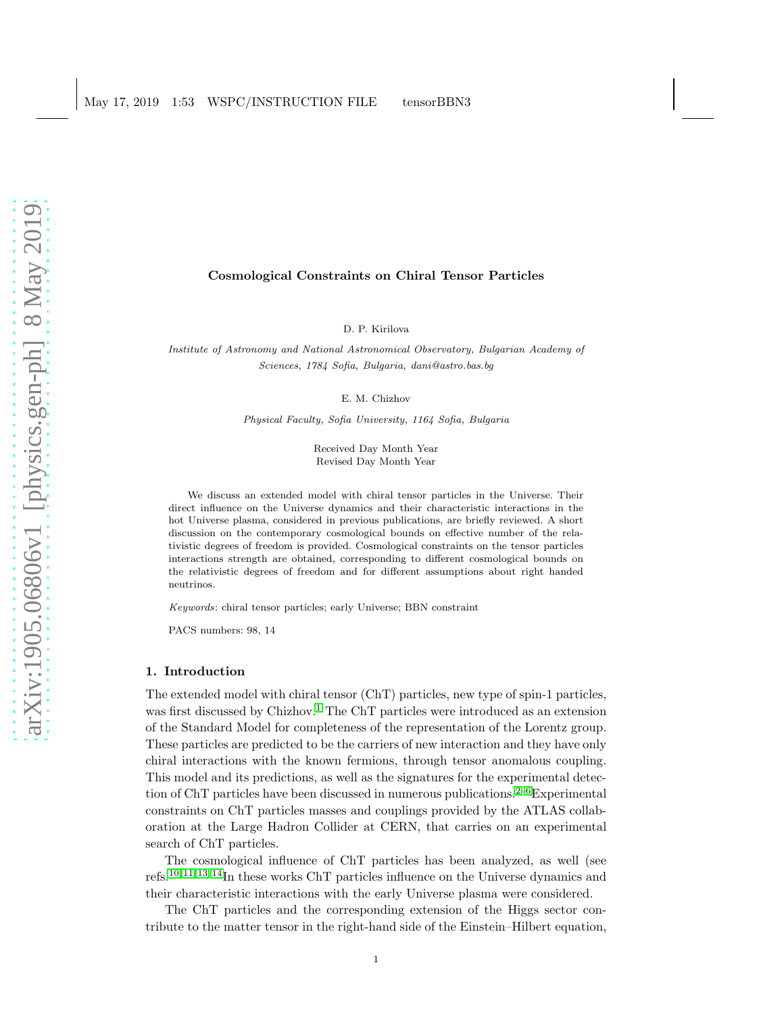# arXiv:1905.06806v1 [physics.gen-ph] 8 May 2019 [arXiv:1905.06806v1 \[physics.gen-ph\] 8 May 2019](http://arxiv.org/abs/1905.06806v1)

# Cosmological Constraints on Chiral Tensor Particles

D. P. Kirilova

Institute of Astronomy and National Astronomical Observatory, Bulgarian Academy of Sciences, 1784 Sofia, Bulgaria, dani@astro.bas.bg

E. M. Chizhov

Physical Faculty, Sofia University, 1164 Sofia, Bulgaria

Received Day Month Year Revised Day Month Year

We discuss an extended model with chiral tensor particles in the Universe. Their direct influence on the Universe dynamics and their characteristic interactions in the hot Universe plasma, considered in previous publications, are briefly reviewed. A short discussion on the contemporary cosmological bounds on effective number of the relativistic degrees of freedom is provided. Cosmological constraints on the tensor particles interactions strength are obtained, corresponding to different cosmological bounds on the relativistic degrees of freedom and for different assumptions about right handed neutrinos.

Keywords: chiral tensor particles; early Universe; BBN constraint

PACS numbers: 98, 14

### 1. Introduction

The extended model with chiral tensor (ChT) particles, new type of spin-1 particles, was first discussed by Chizhov.<sup>[1](#page-6-0)</sup> The ChT particles were introduced as an extension of the Standard Model for completeness of the representation of the Lorentz group. These particles are predicted to be the carriers of new interaction and they have only chiral interactions with the known fermions, through tensor anomalous coupling. This model and its predictions, as well as the signatures for the experimental detec-tion of ChT particles have been discussed in numerous publications.<sup>[2–](#page-6-1)[6](#page-6-2)</sup>Experimental constraints on ChT particles masses and couplings provided by the ATLAS collaboration at the Large Hadron Collider at CERN, that carries on an experimental search of ChT particles.

The cosmological influence of ChT particles has been analyzed, as well (see refs.[10,](#page-6-3) [11,](#page-6-4) [13,](#page-7-0) [14](#page-7-1)In these works ChT particles influence on the Universe dynamics and their characteristic interactions with the early Universe plasma were considered.

The ChT particles and the corresponding extension of the Higgs sector contribute to the matter tensor in the right-hand side of the Einstein–Hilbert equation,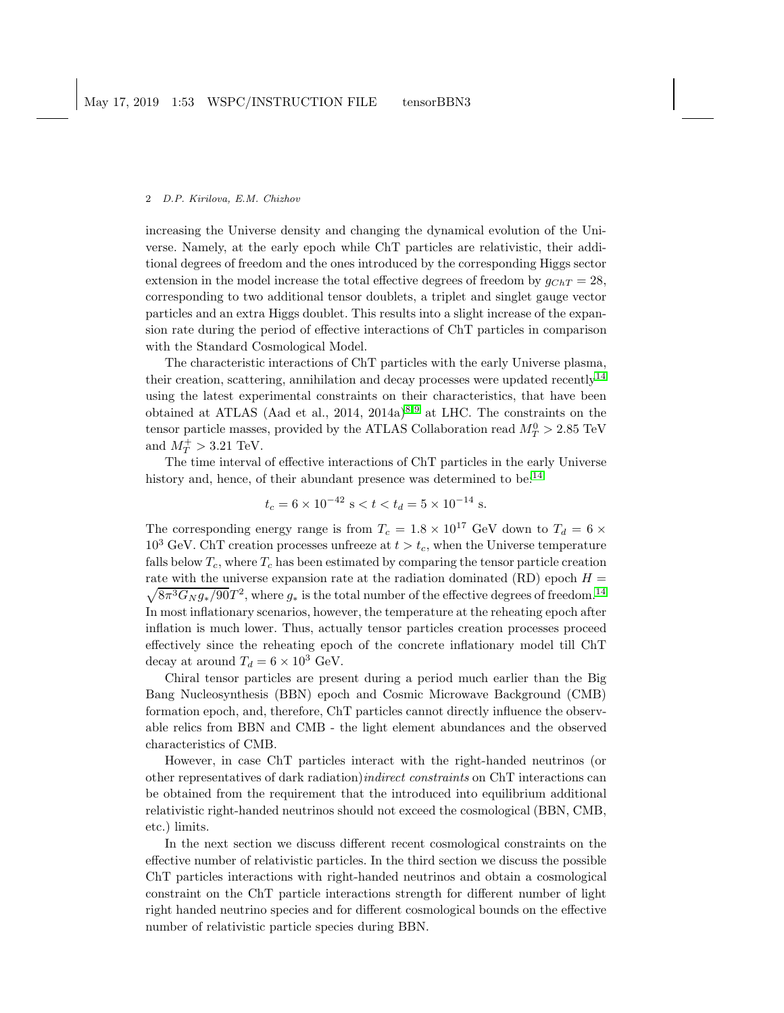increasing the Universe density and changing the dynamical evolution of the Universe. Namely, at the early epoch while ChT particles are relativistic, their additional degrees of freedom and the ones introduced by the corresponding Higgs sector extension in the model increase the total effective degrees of freedom by  $g_{ChT} = 28$ , corresponding to two additional tensor doublets, a triplet and singlet gauge vector particles and an extra Higgs doublet. This results into a slight increase of the expansion rate during the period of effective interactions of ChT particles in comparison with the Standard Cosmological Model.

The characteristic interactions of ChT particles with the early Universe plasma, their creation, scattering, annihilation and decay processes were updated recently<sup>[14](#page-7-1)</sup> using the latest experimental constraints on their characteristics, that have been obtained at ATLAS (Aad et al., 2014, 2014a)<sup>[8,](#page-6-5)9</sup> at LHC. The constraints on the tensor particle masses, provided by the ATLAS Collaboration read  $M_T^0 > 2.85 \text{ TeV}$ and  $M_T^+ > 3.21$  TeV.

The time interval of effective interactions of ChT particles in the early Universe history and, hence, of their abundant presence was determined to be:<sup>[14](#page-7-1)</sup>

$$
t_c = 6 \times 10^{-42}
$$
 s  $< t < t_d = 5 \times 10^{-14}$  s.

The corresponding energy range is from  $T_c = 1.8 \times 10^{17}$  GeV down to  $T_d = 6 \times 10^{17}$  $10^3$  GeV. ChT creation processes unfreeze at  $t > t_c$ , when the Universe temperature falls below  $T_c$ , where  $T_c$  has been estimated by comparing the tensor particle creation rate with the universe expansion rate at the radiation dominated  $(RD)$  epoch  $H =$  $\sqrt{8\pi^3G_N g_*/90}T^2$ , where  $g_*$  is the total number of the effective degrees of freedom.<sup>[14](#page-7-1)</sup> In most inflationary scenarios, however, the temperature at the reheating epoch after inflation is much lower. Thus, actually tensor particles creation processes proceed effectively since the reheating epoch of the concrete inflationary model till ChT decay at around  $T_d = 6 \times 10^3$  GeV.

Chiral tensor particles are present during a period much earlier than the Big Bang Nucleosynthesis (BBN) epoch and Cosmic Microwave Background (CMB) formation epoch, and, therefore, ChT particles cannot directly influence the observable relics from BBN and CMB - the light element abundances and the observed characteristics of CMB.

However, in case ChT particles interact with the right-handed neutrinos (or other representatives of dark radiation)indirect constraints on ChT interactions can be obtained from the requirement that the introduced into equilibrium additional relativistic right-handed neutrinos should not exceed the cosmological (BBN, CMB, etc.) limits.

In the next section we discuss different recent cosmological constraints on the effective number of relativistic particles. In the third section we discuss the possible ChT particles interactions with right-handed neutrinos and obtain a cosmological constraint on the ChT particle interactions strength for different number of light right handed neutrino species and for different cosmological bounds on the effective number of relativistic particle species during BBN.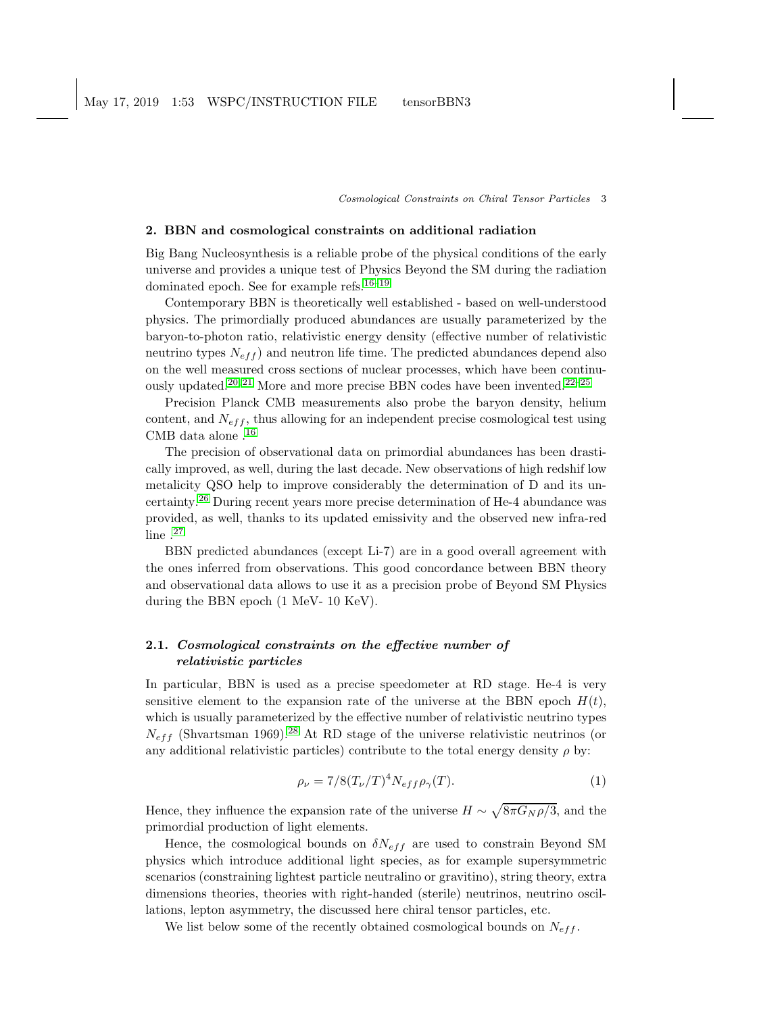Cosmological Constraints on Chiral Tensor Particles 3

## 2. BBN and cosmological constraints on additional radiation

Big Bang Nucleosynthesis is a reliable probe of the physical conditions of the early universe and provides a unique test of Physics Beyond the SM during the radiation dominated epoch. See for example refs.<sup>[16](#page-7-2)-19</sup>

Contemporary BBN is theoretically well established - based on well-understood physics. The primordially produced abundances are usually parameterized by the baryon-to-photon ratio, relativistic energy density (effective number of relativistic neutrino types  $N_{eff}$  and neutron life time. The predicted abundances depend also on the well measured cross sections of nuclear processes, which have been continu-ously updated.<sup>[20,](#page-7-4) [21](#page-7-5)</sup> More and more precise BBN codes have been invented.<sup>[22](#page-7-6)[–25](#page-7-7)</sup>

Precision Planck CMB measurements also probe the baryon density, helium content, and  $N_{eff}$ , thus allowing for an independent precise cosmological test using CMB data alone .[16](#page-7-2)

The precision of observational data on primordial abundances has been drastically improved, as well, during the last decade. New observations of high redshif low metalicity QSO help to improve considerably the determination of D and its uncertainty.[26](#page-7-8) During recent years more precise determination of He-4 abundance was provided, as well, thanks to its updated emissivity and the observed new infra-red line .[27](#page-7-9)

BBN predicted abundances (except Li-7) are in a good overall agreement with the ones inferred from observations. This good concordance between BBN theory and observational data allows to use it as a precision probe of Beyond SM Physics during the BBN epoch (1 MeV- 10 KeV).

# 2.1. Cosmological constraints on the effective number of relativistic particles

In particular, BBN is used as a precise speedometer at RD stage. He-4 is very sensitive element to the expansion rate of the universe at the BBN epoch  $H(t)$ , which is usually parameterized by the effective number of relativistic neutrino types  $N_{eff}$  (Shvartsman 1969).<sup>[28](#page-7-10)</sup> At RD stage of the universe relativistic neutrinos (or any additional relativistic particles) contribute to the total energy density  $\rho$  by:

$$
\rho_{\nu} = 7/8(T_{\nu}/T)^4 N_{eff} \rho_{\gamma}(T). \tag{1}
$$

Hence, they influence the expansion rate of the universe  $H \sim \sqrt{8\pi G_N \rho/3}$ , and the primordial production of light elements.

Hence, the cosmological bounds on  $\delta N_{eff}$  are used to constrain Beyond SM physics which introduce additional light species, as for example supersymmetric scenarios (constraining lightest particle neutralino or gravitino), string theory, extra dimensions theories, theories with right-handed (sterile) neutrinos, neutrino oscillations, lepton asymmetry, the discussed here chiral tensor particles, etc.

We list below some of the recently obtained cosmological bounds on  $N_{eff}$ .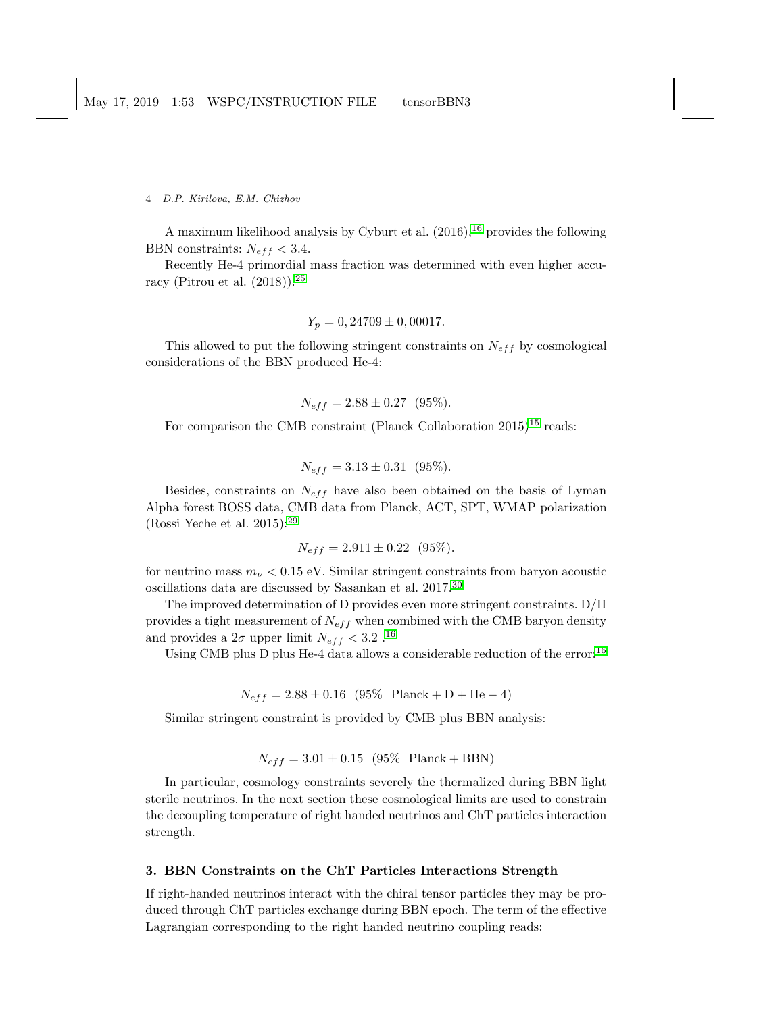A maximum likelihood analysis by Cyburt et al.  $(2016)$  $(2016)$  $(2016)$ , <sup>16</sup> provides the following BBN constraints:  $N_{eff} < 3.4$ .

Recently He-4 primordial mass fraction was determined with even higher accuracy (Pitrou et al.  $(2018)$ ):<sup>[25](#page-7-7)</sup>

$$
Y_p = 0,24709 \pm 0,00017.
$$

This allowed to put the following stringent constraints on  $N_{eff}$  by cosmological considerations of the BBN produced He-4:

$$
N_{eff} = 2.88 \pm 0.27 \text{ (95\%).}
$$

For comparison the CMB constraint (Planck Collaboration  $2015)^{15}$  $2015)^{15}$  $2015)^{15}$  reads:

$$
N_{eff} = 3.13 \pm 0.31 \text{ (95\%).}
$$

Besides, constraints on  $N_{eff}$  have also been obtained on the basis of Lyman Alpha forest BOSS data, CMB data from Planck, ACT, SPT, WMAP polarization (Rossi Yeche et al. 2015): $^{29}$  $^{29}$  $^{29}$ 

$$
N_{eff} = 2.911 \pm 0.22 \quad (95\%).
$$

for neutrino mass  $m_{\nu} < 0.15$  eV. Similar stringent constraints from baryon acoustic oscillations data are discussed by Sasankan et al. 2017.[30](#page-7-13)

The improved determination of D provides even more stringent constraints. D/H provides a tight measurement of  $N_{eff}$  when combined with the CMB baryon density and provides a  $2\sigma$  upper limit  $N_{eff} < 3.2$   $.^{16}$  $.^{16}$  $.^{16}$ 

Using CMB plus D plus He-4 data allows a considerable reduction of the error:[16](#page-7-2)

$$
N_{eff} = 2.88 \pm 0.16 \text{ (95\% Planck + D + He - 4)}
$$

Similar stringent constraint is provided by CMB plus BBN analysis:

$$
N_{eff} = 3.01 \pm 0.15 \ (95\% \ \text{Planck} + \text{BBN})
$$

In particular, cosmology constraints severely the thermalized during BBN light sterile neutrinos. In the next section these cosmological limits are used to constrain the decoupling temperature of right handed neutrinos and ChT particles interaction strength.

# 3. BBN Constraints on the ChT Particles Interactions Strength

If right-handed neutrinos interact with the chiral tensor particles they may be produced through ChT particles exchange during BBN epoch. The term of the effective Lagrangian corresponding to the right handed neutrino coupling reads: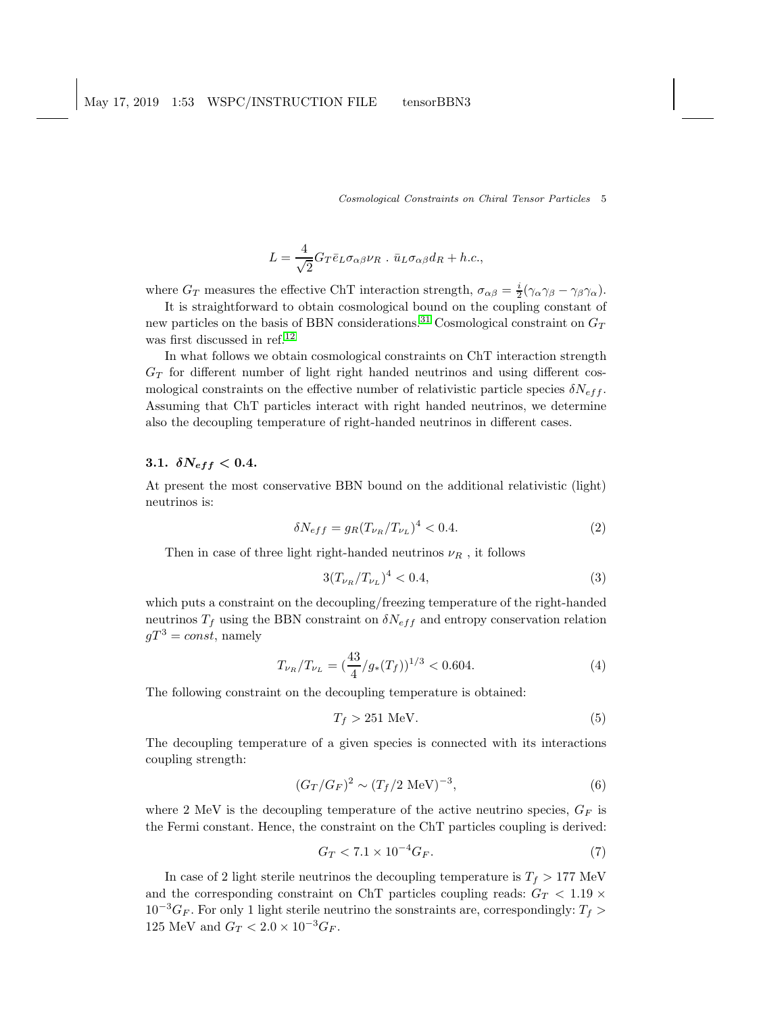Cosmological Constraints on Chiral Tensor Particles 5

$$
L = \frac{4}{\sqrt{2}} G_T \bar{e}_L \sigma_{\alpha\beta} \nu_R \cdot \bar{u}_L \sigma_{\alpha\beta} d_R + h.c.,
$$

where  $G_T$  measures the effective ChT interaction strength,  $\sigma_{\alpha\beta} = \frac{i}{2}(\gamma_\alpha \gamma_\beta - \gamma_\beta \gamma_\alpha)$ .

It is straightforward to obtain cosmological bound on the coupling constant of new particles on the basis of BBN considerations.<sup>[31](#page-7-14)</sup> Cosmological constraint on  $G_T$ was first discussed in ref.<sup>[12](#page-7-15)</sup>

In what follows we obtain cosmological constraints on ChT interaction strength  $G_T$  for different number of light right handed neutrinos and using different cosmological constraints on the effective number of relativistic particle species  $\delta N_{eff}$ . Assuming that ChT particles interact with right handed neutrinos, we determine also the decoupling temperature of right-handed neutrinos in different cases.

# 3.1.  $\delta N_{eff} < 0.4$ .

At present the most conservative BBN bound on the additional relativistic (light) neutrinos is:

$$
\delta N_{eff} = g_R (T_{\nu_R}/T_{\nu_L})^4 < 0.4. \tag{2}
$$

Then in case of three light right-handed neutrinos  $\nu_R$ , it follows

$$
3(T_{\nu_R}/T_{\nu_L})^4 < 0.4,\t\t(3)
$$

which puts a constraint on the decoupling/freezing temperature of the right-handed neutrinos  $T_f$  using the BBN constraint on  $\delta N_{eff}$  and entropy conservation relation  $qT^3 = const$ , namely

$$
T_{\nu_R}/T_{\nu_L} = \left(\frac{43}{4}/g_*(T_f)\right)^{1/3} < 0.604. \tag{4}
$$

The following constraint on the decoupling temperature is obtained:

$$
T_f > 251 \text{ MeV}.\tag{5}
$$

The decoupling temperature of a given species is connected with its interactions coupling strength:

$$
(G_T/G_F)^2 \sim (T_f/2 \text{ MeV})^{-3},\tag{6}
$$

where 2 MeV is the decoupling temperature of the active neutrino species,  $G_F$  is the Fermi constant. Hence, the constraint on the ChT particles coupling is derived:

$$
G_T < 7.1 \times 10^{-4} G_F. \tag{7}
$$

In case of 2 light sterile neutrinos the decoupling temperature is  $T_f > 177$  MeV and the corresponding constraint on ChT particles coupling reads:  $G_T < 1.19 \times$  $10^{-3}G_F$ . For only 1 light sterile neutrino the sonstraints are, correspondingly:  $T_f$  > 125 MeV and  $G_T < 2.0 \times 10^{-3} G_F$ .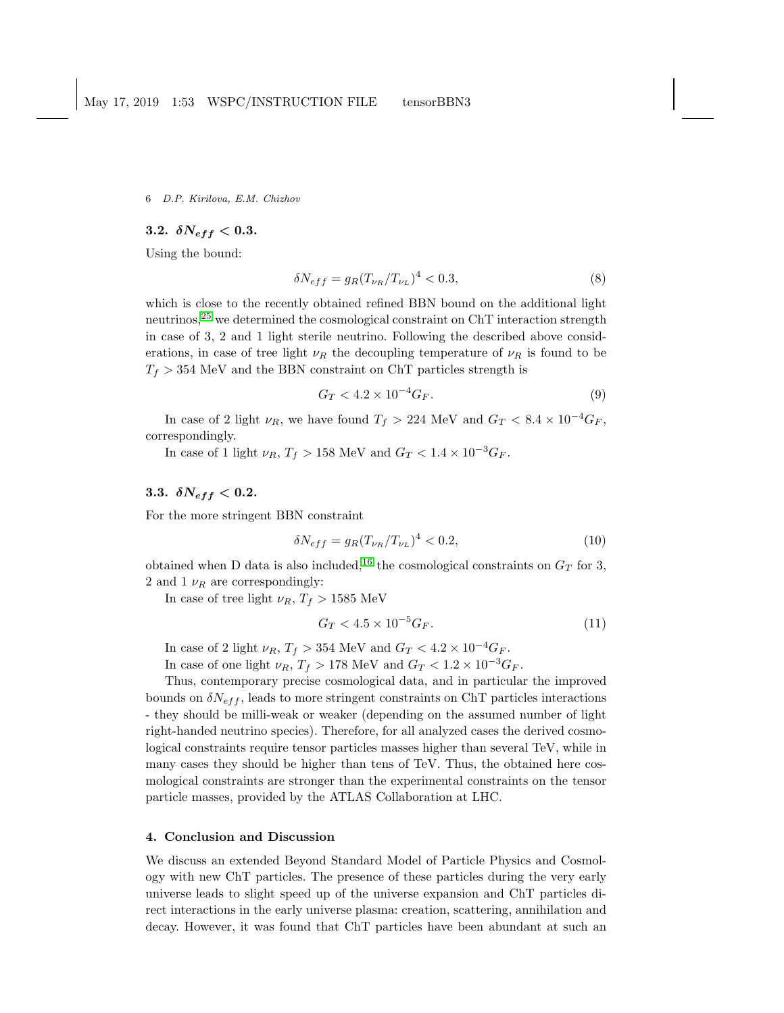# 3.2.  $\delta N_{eff} < 0.3$ .

Using the bound:

$$
\delta N_{eff} = g_R (T_{\nu_R}/T_{\nu_L})^4 < 0.3,\tag{8}
$$

which is close to the recently obtained refined BBN bound on the additional light neutrinos,<sup>[25](#page-7-7)</sup> we determined the cosmological constraint on ChT interaction strength in case of 3, 2 and 1 light sterile neutrino. Following the described above considerations, in case of tree light  $\nu_R$  the decoupling temperature of  $\nu_R$  is found to be  $T_f > 354$  MeV and the BBN constraint on ChT particles strength is

$$
G_T < 4.2 \times 10^{-4} G_F.
$$
 (9)

In case of 2 light  $\nu_R$ , we have found  $T_f > 224$  MeV and  $G_T < 8.4 \times 10^{-4} G_F$ , correspondingly.

In case of 1 light  $\nu_R$ ,  $T_f > 158$  MeV and  $G_T < 1.4 \times 10^{-3} G_F$ .

# 3.3.  $\delta N_{eff} < 0.2$ .

For the more stringent BBN constraint

$$
\delta N_{eff} = g_R (T_{\nu_R}/T_{\nu_L})^4 < 0.2,\tag{10}
$$

obtained when D data is also included,<sup>[16](#page-7-2)</sup> the cosmological constraints on  $G_T$  for 3, 2 and 1  $\nu_R$  are correspondingly:

In case of tree light  $\nu_R$ ,  $T_f > 1585$  MeV

$$
G_T < 4.5 \times 10^{-5} G_F. \tag{11}
$$

In case of 2 light  $\nu_R$ ,  $T_f > 354$  MeV and  $G_T < 4.2 \times 10^{-4} G_F$ .

In case of one light  $\nu_R$ ,  $T_f > 178$  MeV and  $G_T < 1.2 \times 10^{-3} G_F$ .

Thus, contemporary precise cosmological data, and in particular the improved bounds on  $\delta N_{eff}$ , leads to more stringent constraints on ChT particles interactions - they should be milli-weak or weaker (depending on the assumed number of light right-handed neutrino species). Therefore, for all analyzed cases the derived cosmological constraints require tensor particles masses higher than several TeV, while in many cases they should be higher than tens of TeV. Thus, the obtained here cosmological constraints are stronger than the experimental constraints on the tensor particle masses, provided by the ATLAS Collaboration at LHC.

# 4. Conclusion and Discussion

We discuss an extended Beyond Standard Model of Particle Physics and Cosmology with new ChT particles. The presence of these particles during the very early universe leads to slight speed up of the universe expansion and ChT particles direct interactions in the early universe plasma: creation, scattering, annihilation and decay. However, it was found that ChT particles have been abundant at such an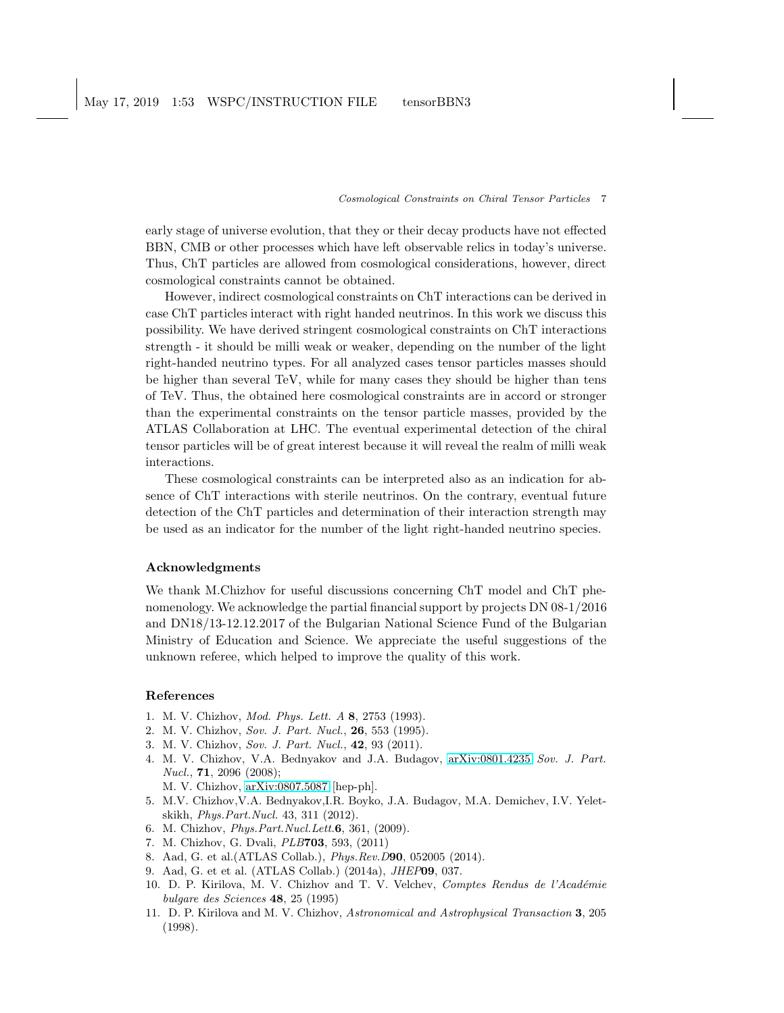May 17, 2019 1:53 WSPC/INSTRUCTION FILE tensorBBN3

### Cosmological Constraints on Chiral Tensor Particles 7

early stage of universe evolution, that they or their decay products have not effected BBN, CMB or other processes which have left observable relics in today's universe. Thus, ChT particles are allowed from cosmological considerations, however, direct cosmological constraints cannot be obtained.

However, indirect cosmological constraints on ChT interactions can be derived in case ChT particles interact with right handed neutrinos. In this work we discuss this possibility. We have derived stringent cosmological constraints on ChT interactions strength - it should be milli weak or weaker, depending on the number of the light right-handed neutrino types. For all analyzed cases tensor particles masses should be higher than several TeV, while for many cases they should be higher than tens of TeV. Thus, the obtained here cosmological constraints are in accord or stronger than the experimental constraints on the tensor particle masses, provided by the ATLAS Collaboration at LHC. The eventual experimental detection of the chiral tensor particles will be of great interest because it will reveal the realm of milli weak interactions.

These cosmological constraints can be interpreted also as an indication for absence of ChT interactions with sterile neutrinos. On the contrary, eventual future detection of the ChT particles and determination of their interaction strength may be used as an indicator for the number of the light right-handed neutrino species.

# Acknowledgments

We thank M.Chizhov for useful discussions concerning ChT model and ChT phenomenology. We acknowledge the partial financial support by projects DN 08-1/2016 and DN18/13-12.12.2017 of the Bulgarian National Science Fund of the Bulgarian Ministry of Education and Science. We appreciate the useful suggestions of the unknown referee, which helped to improve the quality of this work.

# <span id="page-6-0"></span>References

- <span id="page-6-1"></span>1. M. V. Chizhov, Mod. Phys. Lett. A 8, 2753 (1993).
- 2. M. V. Chizhov, Sov. J. Part. Nucl., 26, 553 (1995).
- 3. M. V. Chizhov, Sov. J. Part. Nucl., 42, 93 (2011).
- 4. M. V. Chizhov, V.A. Bednyakov and J.A. Budagov, [arXiv:0801.4235](http://arxiv.org/abs/0801.4235) Sov. J. Part. Nucl., 71, 2096 (2008);
	- M. V. Chizhov, [arXiv:0807.5087](http://arxiv.org/abs/0807.5087) [hep-ph].
- 5. M.V. Chizhov,V.A. Bednyakov,I.R. Boyko, J.A. Budagov, M.A. Demichev, I.V. Yeletskikh, Phys.Part.Nucl. 43, 311 (2012).
- <span id="page-6-2"></span>6. M. Chizhov, Phys.Part.Nucl.Lett.6, 361, (2009).
- <span id="page-6-5"></span>7. M. Chizhov, G. Dvali, PLB703, 593, (2011)
- <span id="page-6-6"></span>8. Aad, G. et al.(ATLAS Collab.), Phys.Rev.D90, 052005 (2014).
- <span id="page-6-3"></span>9. Aad, G. et et al. (ATLAS Collab.) (2014a), JHEP09, 037.
- 10. D. P. Kirilova, M. V. Chizhov and T. V. Velchev, Comptes Rendus de l'Académie bulgare des Sciences 48, 25 (1995)
- <span id="page-6-4"></span>11. D. P. Kirilova and M. V. Chizhov, Astronomical and Astrophysical Transaction 3, 205 (1998).